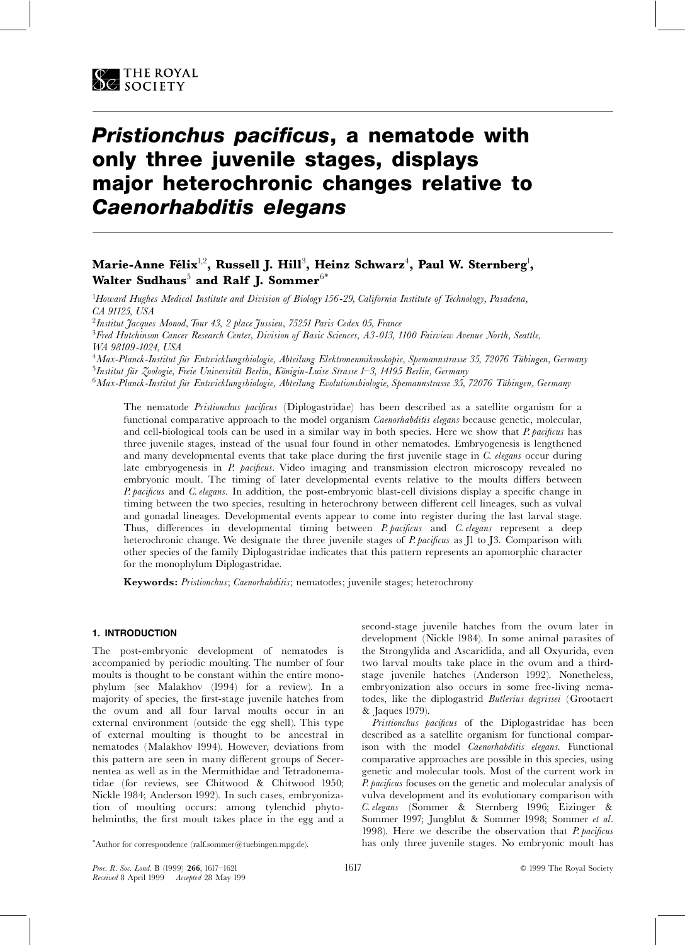# Pristionchus pacificus, a nematode with only three juvenile stages, displays major heterochronic changes relative to **Caenorhabditis elegans**

# Marie-Anne Félix<sup>1,2</sup>, Russell J. Hill<sup>3</sup>, Heinz Schwarz<sup>4</sup>, Paul W. Sternberg<sup>1</sup>, Walter Sudhaus<sup>5</sup> and Ralf J. Sommer<sup>6\*</sup>

<sup>1</sup>Howard Hughes Medical Institute and Division of Biology 156-29, California Institute of Technology, Pasadena, CA 91125, USA

<sup>2</sup>Institut Jacques Monod, Tour 43, 2 place Jussieu, 75251 Paris Cedex 05, France

<sup>3</sup>Fred Hutchinson Cancer Research Center, Division of Basic Sciences, A3-013, 1100 Fairview Avenue North, Seattle, WA 98109-1024, USA

<sup>4</sup>Max-Planck-Institut für Entwicklungsbiologie, Abteilung Elektronenmikroskopie, Spemannstrasse 35, 72076 Tübingen, Germany <sup>5</sup>Institut für Zoologie, Freie Universität Berlin, Königin-Luise Strasse 1-3, 14195 Berlin, Germany

<sup>6</sup>Max-Planck-Institut für Entwicklungsbiologie, Abteilung Evolutionsbiologie, Spemannstrasse 35, 72076 Tübingen, Germany

The nematode Pristionchus pacificus (Diplogastridae) has been described as a satellite organism for a functional comparative approach to the model organism *Caenorhabditis elegans* because genetic, molecular, and cell-biological tools can be used in a similar way in both species. Here we show that P. pacificus has three juvenile stages, instead of the usual four found in other nematodes. Embryogenesis is lengthened and many developmental events that take place during the first juvenile stage in C. elegans occur during late embryogenesis in *P. pacificus*. Video imaging and transmission electron microscopy revealed no embryonic moult. The timing of later developmental events relative to the moults differs between P. pacificus and C. elegans. In addition, the post-embryonic blast-cell divisions display a specific change in timing between the two species, resulting in heterochrony between different cell lineages, such as vulval and gonadal lineages. Developmental events appear to come into register during the last larval stage. Thus, differences in developmental timing between *P. pacificus* and *C. elegans* represent a deep heterochronic change. We designate the three juvenile stages of *P. pacificus* as II to I3. Comparison with other species of the family Diplogastridae indicates that this pattern represents an apomorphic character for the monophylum Diplogastridae.

Keywords: Pristionchus; Caenorhabditis; nematodes; juvenile stages; heterochrony

# 1. INTRODUCTION

The post-embryonic development of nematodes is accompanied by periodic moulting. The number of four moults is thought to be constant within the entire monophylum (see Malakhov (1994) for a review). In a majority of species, the first-stage juvenile hatches from the ovum and all four larval moults occur in an external environment (outside the egg shell). This type of external moulting is thought to be ancestral in nematodes (Malakhov 1994). However, deviations from this pattern are seen in many different groups of Secernentea as well as in the Mermithidae and Tetradonematidae (for reviews, see Chitwood & Chitwood 1950; Nickle 1984; Anderson 1992). In such cases, embryonization of moulting occurs: among tylenchid phytohelminths, the first moult takes place in the egg and a

second-stage juvenile hatches from the ovum later in development (Nickle 1984). In some animal parasites of the Strongylida and Ascaridida, and all Oxyurida, even two larval moults take place in the ovum and a thirdstage juvenile hatches (Anderson 1992). Nonetheless, embryonization also occurs in some free-living nematodes, like the diplogastrid Butlerius degrissei (Grootaert & Jaques 1979).

Pristionchus pacificus of the Diplogastridae has been described as a satellite organism for functional comparison with the model *Caenorhabditis elegans*. Functional comparative approaches are possible in this species, using genetic and molecular tools. Most of the current work in P. pacificus focuses on the genetic and molecular analysis of vulva development and its evolutionary comparison with C. elegans (Sommer & Sternberg 1996; Eizinger & Sommer 1997; Jungblut & Sommer 1998; Sommer et al. 1998). Here we describe the observation that P. pacificus has only three juvenile stages. No embryonic moult has

<sup>\*</sup>Author for correspondence  $(\text{ralf.sommer@tuebingen.mpg.de}).$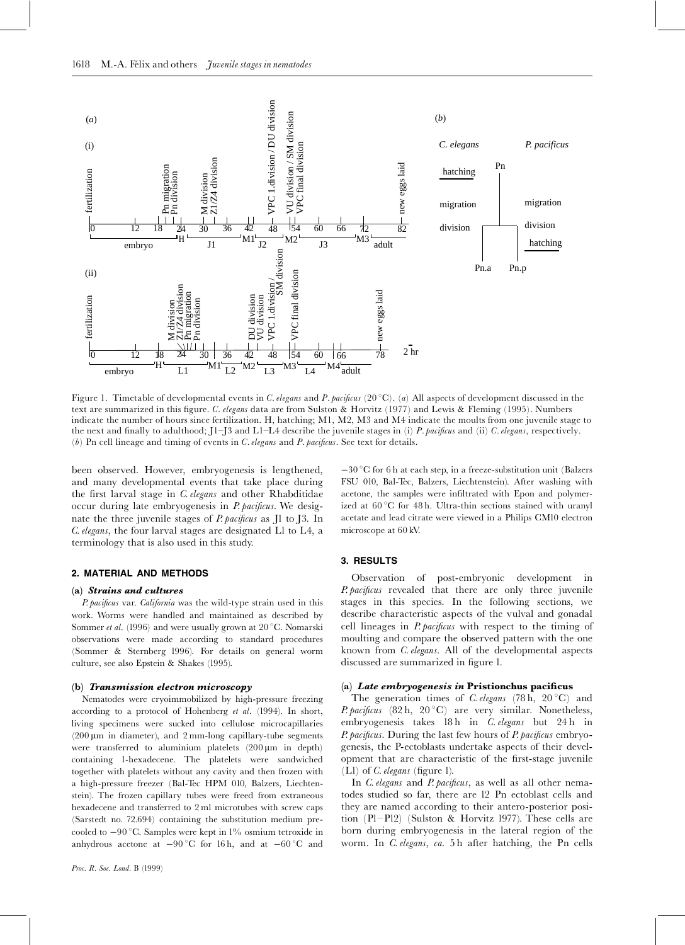

Figure 1. Timetable of developmental events in *C. elegans* and *P. pacificus* (20 °C). (*a*) All aspects of development discussed in the text are summarized in this figure. *C. elegans* data are from Sulston & Horvitz (1977) and Lewis & Fleming (1995). Numbers indicate the number of hours since fertilization. H, hatching; M1, M2, M3 and M4 indicate the moults from one juvenile stage to the next and finally to adulthood; J1–J3 and L1–L4 describe the juvenile stages in (i) *P. pacificus* and (ii) *C. elegans*, respectively.  $(b)$  Pn cell lineage and timing of events in C. elegans and P. pacificus. See text for details.

been observed. However, embryogenesis is lengthened, and many developmental events that take place during the first larval stage in C. elegans and other Rhabditidae occur during late embryogenesis in  $P$  *pacificus*. We designate the three juvenile stages of *P. pacificus* as Jl to J3. In C. elegans, the four larval stages are designated L1 to L4, a terminology that is also used in this study.

#### 2. MATERIAL AND METHODS

#### (a) Strains and cultures

P. pacificus var. California was the wild-type strain used in this work. Worms were handled and maintained as described by Sommer *et al.* (1996) and were usually grown at  $20^{\circ}$ C. Nomarski observations were made according to standard procedures (Sommer & Sternberg 1996). For details on general worm culture, see also Epstein & Shakes (1995).

#### (b) Transmission electron microscopy

Nematodes were cryoimmobilized by high-pressure freezing according to a protocol of Hohenberg et al. (1994). In short, living specimens were sucked into cellulose microcapillaries  $(200 \,\mu m)$  in diameter), and  $2 \,mm$ -long capillary-tube segments were transferred to aluminium platelets  $(200 \,\mu m)$  in depth) containing 1-hexadecene. The platelets were sandwiched together with platelets without any cavity and then frozen with a high-pressure freezer (Bal-Tec HPM 010, Balzers, Liechtenstein). The frozen capillary tubes were freed from extraneous  $\alpha$  hexadecene and transferred to  $2\,\mathrm{ml}$  microtubes with screw caps  $(Sarstedt$  no.  $72.694)$  containing the substitution medium precooled to  $-90$  °C. Samples were kept in  $1\%$  osmium tetroxide in anhydrous acetone at  $-90\,^{\circ}\text{C}$  for 16 h, and at  $-60\,^{\circ}\text{C}$  and

 $-30\,^{\circ}\mathrm{C}$  for 6 h at each step, in a freeze-substitution unit (Balzers FSU 010, Bal-Tec, Balzers, Liechtenstein). After washing with acetone, the samples were infiltrated with Epon and polymerized at  $60\,^{\circ}\mathrm{C}$  for 48 h. Ultra-thin sections stained with uranyl acetate and lead citrate were viewed in a Philips CM10 electron microscope at  $60$  kV.

#### 3. RESULTS

Observation of post-embryonic development in P. pacificus revealed that there are only three juvenile stages in this species. In the following sections, we describe characteristic aspects of the vulval and gonadal cell lineages in *P. pacificus* with respect to the timing of moulting and compare the observed pattern with the one known from *C. elegans*. All of the developmental aspects discussed are summarized in figure 1.

#### (a) Late embryogenesis in Pristionchus pacificus

The generation times of *C. elegans* (78 h, 20 °C) and *P. pacificus* (82 h, 20 °C) are very similar. Nonetheless, embryogenesis takes 18 h in C. elegans but 24 h in P. pacificus. During the last few hours of P. pacificus embryogenesis, the P-ectoblasts undertake aspects of their development that are characteristic of the first-stage juvenile  $(Ll)$  of  $C.$  elegans (figure 1).

In *C. elegans* and *P. pacificus*, as well as all other nematodes studied so far, there are 12 Pn ectoblast cells and they are named according to their antero-posterior position  $(PI-P12)$  (Sulston & Horvitz 1977). These cells are born during embryogenesis in the lateral region of the worm. In C. elegans, ca. 5 h after hatching, the Pn cells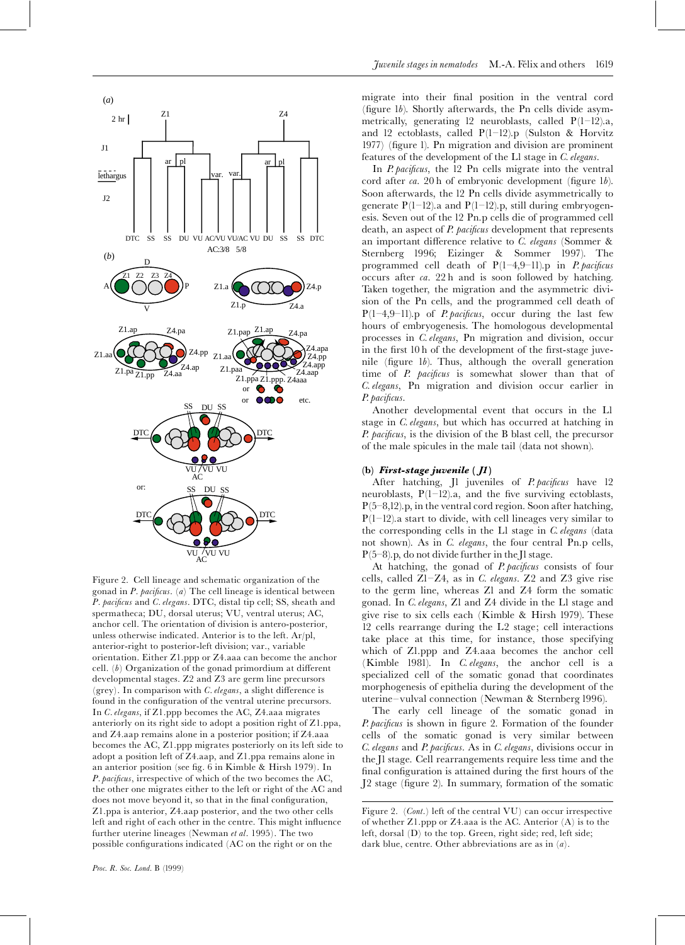

Figure 2. Cell lineage and schematic organization of the gonad in  $P$ . pacificus. (a) The cell lineage is identical between P. pacificus and C. elegans. DTC, distal tip cell; SS, sheath and spermatheca; DU, dorsal uterus; VU, ventral uterus; AC, anchor cell. The orientation of division is antero-posterior, unless otherwise indicated. Anterior is to the left. Ar/pl, anterior-right to posterior-left division; var., variable orientation. Either Z1.ppp or Z4.aaa can become the anchor cell.  $(b)$  Organization of the gonad primordium at different developmental stages. Z2 and Z3 are germ line precursors (grey). In comparison with  $C$ . elegans, a slight difference is found in the configuration of the ventral uterine precursors. In C. elegans, if Z1.ppp becomes the AC, Z4.aaa migrates anteriorly on its right side to adopt a position right of Z1.ppa, and Z4.aap remains alone in a posterior position; if Z4.aaa becomes the AC, Z1.ppp migrates posteriorly on its left side to adopt a position left of Z4.aap, and Z1.ppa remains alone in an anterior position (see fig. 6 in Kimble & Hirsh 1979). In *P. pacificus*, irrespective of which of the two becomes the AC, the other one migrates either to the left or right of the AC and does not move beyond it, so that in the final configuration, Z1.ppa is anterior, Z4.aap posterior, and the two other cells left and right of each other in the centre. This might influence further uterine lineages (Newman et al. 1995). The two possible configurations indicated (AC on the right or on the

migrate into their final position in the ventral cord (figure 1b). Shortly afterwards, the Pn cells divide asymmetrically, generating 12 neuroblasts, called  $P(1-12)a$ , and 12 ectoblasts, called  $P(1-12)$ .p (Sulston & Horvitz 1977) (figure 1). Pn migration and division are prominent features of the development of the L1 stage in C. elegans.

In *P. pacificus*, the 12 Pn cells migrate into the ventral cord after ca. 20 h of embryonic development (figure 1b). Soon afterwards, the 12 Pn cells divide asymmetrically to generate  $P(1-12)$  a and  $P(1-12)$  p, still during embryogenesis. Seven out of the 12 Pn.p cells die of programmed cell death, an aspect of *P. pacificus* development that represents an important difference relative to  $C$ . elegans (Sommer & Sternberg 1996; Eizinger & Sommer 1997). The programmed cell death of  $P(1-4,9-11)$ .p in *P. pacificus* occurs after  $ca. 22h$  and is soon followed by hatching. Taken together, the migration and the asymmetric division of the Pn cells, and the programmed cell death of  $P(1-4,9-11)$ .p of *P. pacificus*, occur during the last few hours of embryogenesis. The homologous developmental processes in C. elegans, Pn migration and division, occur in the first 10 h of the development of the first-stage juvenile (figure  $1b$ ). Thus, although the overall generation time of *P. pacificus* is somewhat slower than that of C. elegans, Pn migration and division occur earlier in P. pacificus.

Another developmental event that occurs in the Ll stage in C. elegans, but which has occurred at hatching in P. pacificus, is the division of the B blast cell, the precursor of the male spicules in the male tail (data not shown).

# (b) First-stage juvenile  $($   $)$

After hatching, Jl juveniles of *P. pacificus* have 12 neuroblasts,  $P(1-12)$ .a, and the five surviving ectoblasts,  $P(5-8,12)$ .p, in the ventral cord region. Soon after hatching,  $P(1-12)$  a start to divide, with cell lineages very similar to the corresponding cells in the L1 stage in C. elegans (data not shown). As in C. elegans, the four central Pn.p cells,  $P(5-8)$ , p, do not divide further in the Jl stage.

At hatching, the gonad of P. pacificus consists of four cells, called Z1-Z4, as in C. elegans. Z2 and Z3 give rise to the germ line, whereas Z1 and Z4 form the somatic gonad. In C. elegans, Z1 and Z4 divide in the L1 stage and give rise to six cells each (Kimble & Hirsh 1979). These 12 cells rearrange during the L2 stage; cell interactions take place at this time, for instance, those specifying which of Zl.ppp and Z4.aaa becomes the anchor cell (Kimble 1981). In C. elegans, the anchor cell is a specialized cell of the somatic gonad that coordinates morphogenesis of epithelia during the development of the uterine-vulval connection (Newman & Sternberg 1996).

The early cell lineage of the somatic gonad in P. pacificus is shown in figure 2. Formation of the founder cells of the somatic gonad is very similar between C. elegans and P. pacificus. As in C. elegans, divisions occur in the Il stage. Cell rearrangements require less time and the final configuration is attained during the first hours of the J2 stage (figure 2). In summary, formation of the somatic

Figure 2. (Cont.) left of the central VU) can occur irrespective of whether  $Z1$  ppp or  $Z4$  aaa is the AC. Anterior  $(A)$  is to the left, dorsal (D) to the top. Green, right side; red, left side; dark blue, centre. Other abbreviations are as in  $(a)$ .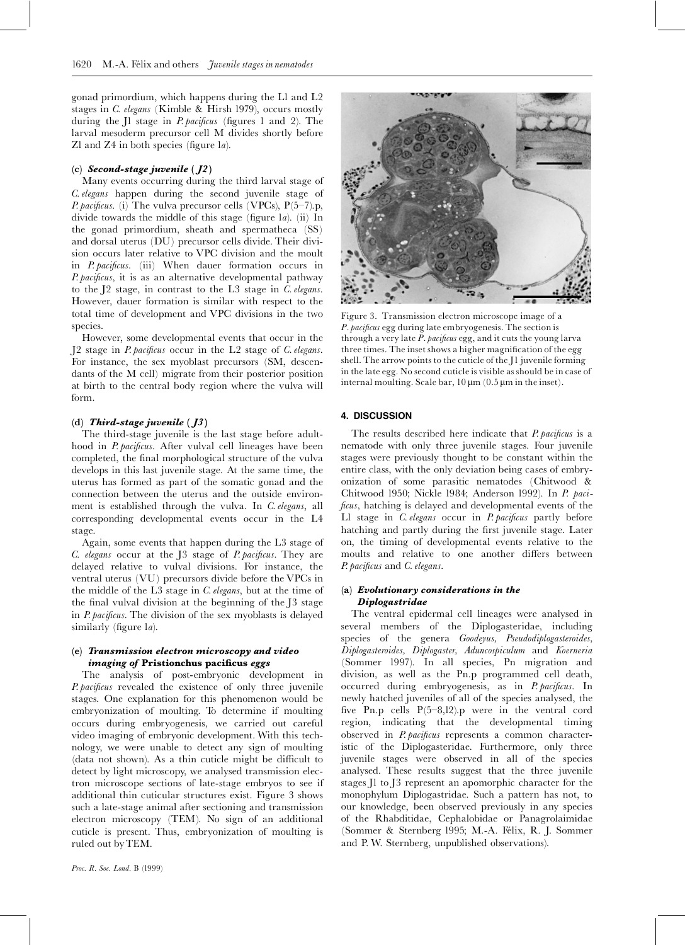gonad primordium, which happens during the L1 and L2 stages in C. elegans (Kimble & Hirsh 1979), occurs mostly during the J1 stage in *P. pacificus* (figures 1 and 2). The larval mesoderm precursor cell M divides shortly before Zl and Z4 in both species (figure la).

## (c) Second-stage juvenile  $(J2)$

Many events occurring during the third larval stage of C. elegans happen during the second juvenile stage of *P. pacificus.* (i) The vulva precursor cells (VPCs),  $P(5-7)$ .p, divide towards the middle of this stage (figure la). (ii) In the gonad primordium, sheath and spermatheca (SS) and dorsal uterus (DU) precursor cells divide. Their division occurs later relative to VPC division and the moult in P. pacificus. (iii) When dauer formation occurs in P. pacificus, it is as an alternative developmental pathway to the J2 stage, in contrast to the L3 stage in C. elegans. However, dauer formation is similar with respect to the total time of development and VPC divisions in the two species.

However, some developmental events that occur in the J2 stage in *P. pacificus* occur in the L2 stage of *C. elegans*. For instance, the sex myoblast precursors (SM, descendants of the M cell) migrate from their posterior position at birth to the central body region where the vulva will form.

## (d) Third-stage juvenile  $(13)$

The third-stage juvenile is the last stage before adulthood in *P. pacificus*. After vulval cell lineages have been completed, the final morphological structure of the vulva develops in this last juvenile stage. At the same time, the uterus has formed as part of the somatic gonad and the connection between the uterus and the outside environment is established through the vulva. In C. elegans, all corresponding developmental events occur in the L4 stage.

Again, some events that happen during the L3 stage of C. elegans occur at the J3 stage of *P. pacificus*. They are delayed relative to vulval divisions. For instance, the ventral uterus (VU) precursors divide before the VPCs in the middle of the L3 stage in C. elegans, but at the time of the final vulval division at the beginning of the J3 stage in *P. pacificus*. The division of the sex myoblasts is delayed similarly (figure la).

# (e) Transmission electron microscopy and video imaging of Pristionchus pacificus eggs

The analysis of post-embryonic development in P. pacificus revealed the existence of only three juvenile stages. One explanation for this phenomenon would be embryonization of moulting. To determine if moulting occurs during embryogenesis, we carried out careful video imaging of embryonic development. With this technology, we were unable to detect any sign of moulting (data not shown). As a thin cuticle might be difficult to detect by light microscopy, we analysed transmission electron microscope sections of late-stage embryos to see if additional thin cuticular structures exist. Figure 3 shows such a late-stage animal after sectioning and transmission electron microscopy (TEM). No sign of an additional cuticle is present. Thus, embryonization of moulting is ruled out by TEM.



Figure 3. Transmission electron microscope image of a P. pacificus egg during late embryogenesis. The section is through a very late  $P$ . pacificus egg, and it cuts the young larva three times. The inset shows a higher magnification of the egg shell. The arrow points to the cuticle of the J1 juvenile forming in the late egg. No second cuticle is visible as should be in case of internal moulting. Scale bar,  $10 \mu m$  (0.5  $\mu m$  in the inset).

### 4. DISCUSSION

The results described here indicate that *P. pacificus* is a nematode with only three juvenile stages. Four juvenile stages were previously thought to be constant within the entire class, with the only deviation being cases of embryonization of some parasitic nematodes (Chitwood & Chitwood 1950; Nickle 1984; Anderson 1992). In P. paci*ficus*, hatching is delayed and developmental events of the Ll stage in C. elegans occur in P. pacificus partly before hatching and partly during the first juvenile stage. Later on, the timing of developmental events relative to the moults and relative to one another differs between P. pacificus and C. elegans.

#### (a) Evolutionary considerations in the Diplogastridae

The ventral epidermal cell lineages were analysed in several members of the Diplogasteridae, including species of the genera Goodeyus, Pseudodiplogasteroides, Diplogasteroides, Diplogaster, Aduncospiculum and Koerneria (Sommer 1997). In all species, Pn migration and division, as well as the Pn.p programmed cell death, occurred during embryogenesis, as in P. pacificus. In newly hatched juveniles of all of the species analysed, the five Pn.p cells  $P(5-8,12)$ .p were in the ventral cord region, indicating that the developmental timing observed in *P. pacificus* represents a common characteristic of the Diplogasteridae. Furthermore, only three juvenile stages were observed in all of the species analysed. These results suggest that the three juvenile stages Il to I3 represent an apomorphic character for the monophylum Diplogastridae. Such a pattern has not, to our knowledge, been observed previously in any species of the Rhabditidae, Cephalobidae or Panagrolaimidae (Sommer & Sternberg 1995; M.-A. Félix, R. J. Sommer and P. W. Sternberg, unpublished observations).